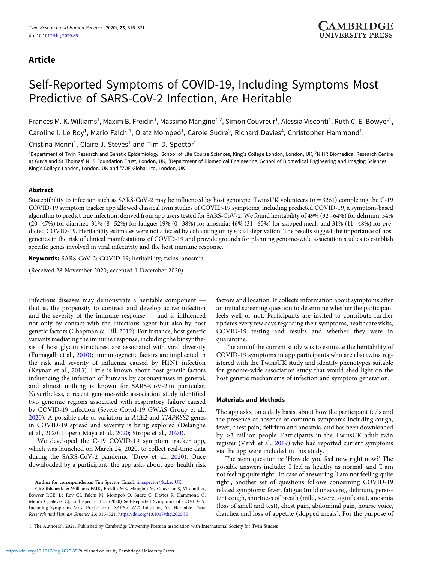## Article

# Self-Reported Symptoms of COVID-19, Including Symptoms Most Predictive of SARS-CoV-2 Infection, Are Heritable

Frances M. K. Williams<sup>1</sup>, Maxim B. Freidin<sup>1</sup>, Massimo Mangino<sup>1,2</sup>, Simon Couvreur<sup>1</sup>, Alessia Visconti<sup>1</sup>, Ruth C. E. Bowyer<sup>1</sup>, Caroline I. Le Roy<sup>1</sup>, Mario Falchi<sup>1</sup>, Olatz Mompeó<sup>1</sup>, Carole Sudre<sup>3</sup>, Richard Davies<sup>4</sup>, Christopher Hammond<sup>1</sup>, Cristina Menni<sup>1</sup>, Claire J. Steves<sup>1</sup> and Tim D. Spector<sup>1</sup>

<sup>1</sup>Department of Twin Research and Genetic Epidemiology, School of Life Course Sciences, King's College London, London, UK, <sup>2</sup>NIHR Biomedical Research Centre at Guy's and St Thomas' NHS Foundation Trust, London, UK, <sup>3</sup>Department of Biomedical Engineering, School of Biomedical Engineering and Imaging Sciences, King's College London, London, UK and <sup>4</sup>ZOE Global Ltd, London, UK

## Abstract

Susceptibility to infection such as SARS-CoV-2 may be influenced by host genotype. TwinsUK volunteers  $(n = 3261)$  completing the C-19 COVID-19 symptom tracker app allowed classical twin studies of COVID-19 symptoms, including predicted COVID-19, a symptom-based algorithm to predict true infection, derived from app users tested for SARS-CoV-2. We found heritability of 49% (32−64%) for delirium; 34% (20−47%) for diarrhea; 31% (8−52%) for fatigue; 19% (0−38%) for anosmia; 46% (31−60%) for skipped meals and 31% (11−48%) for predicted COVID-19. Heritability estimates were not affected by cohabiting or by social deprivation. The results suggest the importance of host genetics in the risk of clinical manifestations of COVID-19 and provide grounds for planning genome-wide association studies to establish specific genes involved in viral infectivity and the host immune response.

Keywords: SARS-CoV-2; COVID-19; heritability; twins; anosmia

(Received 28 November 2020; accepted 1 December 2020)

Infectious diseases may demonstrate a heritable component that is, the propensity to contract and develop active infection and the severity of the immune response — and is influenced not only by contact with the infectious agent but also by host genetic factors (Chapman & Hill, [2012\)](#page-5-0). For instance, host genetic variants mediating the immune response, including the biosynthesis of host glycan structures, are associated with viral diversity (Fumagalli et al., [2010\)](#page-5-0); immunogenetic factors are implicated in the risk and severity of influenza caused by H1N1 infection (Keynan et al., [2013\)](#page-5-0). Little is known about host genetic factors influencing the infection of humans by coronaviruses in general, and almost nothing is known for SARS-CoV-2 in particular. Nevertheless, a recent genome-wide association study identified two genomic regions associated with respiratory failure caused by COVID-19 infection (Severe Covid-19 GWAS Group et al., [2020\)](#page-5-0). A possible role of variation in ACE2 and TMPRSS2 genes in COVID-19 spread and severity is being explored (Delanghe et al., [2020;](#page-5-0) Lopera Maya et al., [2020;](#page-5-0) Strope et al., [2020](#page-5-0)).

We developed the C-19 COVID-19 symptom tracker app, which was launched on March 24, 2020, to collect real-time data during the SARS-CoV-2 pandemic (Drew et al., [2020](#page-5-0)). Once downloaded by a participant, the app asks about age, health risk

Author for correspondence: Tim Spector, Email: [tim.spector@kcl.ac.UK](mailto:tim.spector@kcl.ac.UK)

Cite this article: Williams FMK, Freidin MB, Mangino M, Couvreur S, Visconti A, Bowyer RCE, Le Roy CI, Falchi M, Mompeó O, Sudre C, Davies R, Hammond C, Menni C, Steves CJ, and Spector TD. (2020) Self-Reported Symptoms of COVID-19, Including Symptoms Most Predictive of SARS-CoV-2 Infection, Are Heritable. Twin Research and Human Genetics 23: 316–321, <https://doi.org/10.1017/thg.2020.85>

factors and location. It collects information about symptoms after an initial screening question to determine whether the participant feels well or not. Participants are invited to contribute further updates every few days regarding their symptoms, healthcare visits, COVID-19 testing and results and whether they were in quarantine.

The aim of the current study was to estimate the heritability of COVID-19 symptoms in app participants who are also twins registered with the TwinsUK study and identify phenotypes suitable for genome-wide association study that would shed light on the host genetic mechanisms of infection and symptom generation.

## Materials and Methods

The app asks, on a daily basis, about how the participant feels and the presence or absence of common symptoms including cough, fever, chest pain, delirium and anosmia, and has been downloaded by >3 million people. Participants in the TwinsUK adult twin register (Verdi et al., [2019](#page-5-0)) who had reported current symptoms via the app were included in this study.

The stem question is: 'How do you feel now right now?' The possible answers include: 'I feel as healthy as normal' and 'I am not feeling quite right'. In case of answering 'I am not feeling quite right', another set of questions follows concerning COVID-19 related symptoms: fever, fatigue (mild or severe), delirium, persistent cough, shortness of breath (mild, severe, significant), anosmia (loss of smell and test), chest pain, abdominal pain, hoarse voice, diarrhea and loss of appetite (skipped meals). For the purpose of

© The Author(s), 2021. Published by Cambridge University Press in association with International Society for Twin Studies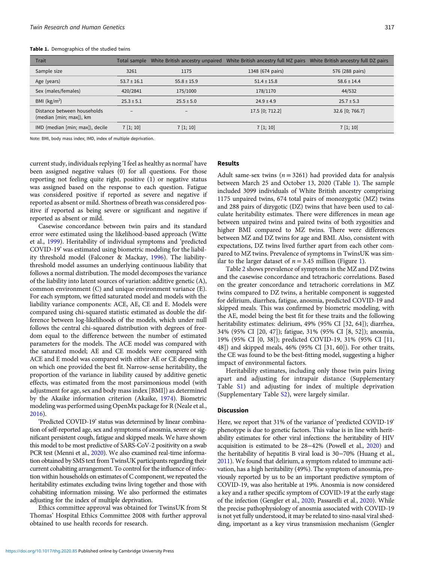| Trait                                                  |                          |                   | Total sample White British ancestry unpaired White British ancestry full MZ pairs White British ancestry full DZ pairs |                 |  |  |
|--------------------------------------------------------|--------------------------|-------------------|------------------------------------------------------------------------------------------------------------------------|-----------------|--|--|
| Sample size                                            | 3261                     | 1175              | 1348 (674 pairs)                                                                                                       | 576 (288 pairs) |  |  |
| Age (years)                                            | $53.7 \pm 16.1$          | $55.8 \pm 15.9$   | $51.4 \pm 15.8$                                                                                                        | $58.6 \pm 14.4$ |  |  |
| Sex (males/females)                                    | 420/2841                 | 175/1000          | 178/1170                                                                                                               | 44/532          |  |  |
| BMI $(kg/m2)$                                          | $25.3 \pm 5.1$           | $25.5 \pm 5.0$    | $24.9 \pm 4.9$                                                                                                         | $25.7 \pm 5.3$  |  |  |
| Distance between households<br>(median [min; max]), km | $\overline{\phantom{a}}$ | $\qquad \qquad -$ | 17.5 [0; 712.2]                                                                                                        | 32.6 [0; 766.7] |  |  |
| IMD (median [min; max]), decile                        | $7\ [1; 10]$             | 7[1;10]           | 7[1; 10]                                                                                                               | $7\;[1;10]$     |  |  |

Note: BMI, body mass index; IMD, index of multiple deprivation.

current study, individuals replying 'I feel as healthy as normal' have been assigned negative values (0) for all questions. For those reporting not feeling quite right, positive (1) or negative status was assigned based on the response to each question. Fatigue was considered positive if reported as severe and negative if reported as absent or mild. Shortness of breath was considered positive if reported as being severe or significant and negative if reported as absent or mild.

Casewise concordance between twin pairs and its standard error were estimated using the likelihood-based approach (Witte et al., [1999\)](#page-5-0). Heritability of individual symptoms and 'predicted COVID-19' was estimated using biometric modeling for the liability threshold model (Falconer & Mackay, [1996](#page-5-0)). The liabilitythreshold model assumes an underlying continuous liability that follows a normal distribution. The model decomposes the variance of the liability into latent sources of variation: additive genetic (A), common environment (C) and unique environment variance (E). For each symptom, we fitted saturated model and models with the liability variance components: ACE, AE, CE and E. Models were compared using chi-squared statistic estimated as double the difference between log-likelihoods of the models, which under null follows the central chi-squared distribution with degrees of freedom equal to the difference between the number of estimated parameters for the models. The ACE model was compared with the saturated model; AE and CE models were compared with ACE and E model was compared with either AE or CE depending on which one provided the best fit. Narrow-sense heritability, the proportion of the variance in liability caused by additive genetic effects, was estimated from the most parsimonious model (with adjustment for age, sex and body mass index [BMI]) as determined by the Akaike information criterion (Akaike, [1974](#page-5-0)). Biometric modeling was performed using OpenMx package for R (Neale et al., [2016](#page-5-0)).

'Predicted COVID-19' status was determined by linear combination of self-reported age, sex and symptoms of anosmia, severe or significant persistent cough, fatigue and skipped meals. We have shown this model to be most predictive of SARS-CoV-2 positivity on a swab PCR test (Menni et al., [2020\)](#page-5-0). We also examined real-time information obtained by SMS text from TwinsUK participants regarding their current cohabiting arrangement. To control for the influence of infection within households on estimates of C component, we repeated the heritability estimates excluding twins living together and those with cohabiting information missing. We also performed the estimates adjusting for the index of multiple deprivation.

Ethics committee approval was obtained for TwinsUK from St Thomas' Hospital Ethics Committee 2008 with further approval obtained to use health records for research.

## Results

Adult same-sex twins ( $n = 3261$ ) had provided data for analysis between March 25 and October 13, 2020 (Table 1). The sample included 3099 individuals of White British ancestry comprising 1175 unpaired twins, 674 total pairs of monozygotic (MZ) twins and 288 pairs of dizygotic (DZ) twins that have been used to calculate heritability estimates. There were differences in mean age between unpaired twins and paired twins of both zygosities and higher BMI compared to MZ twins. There were differences between MZ and DZ twins for age and BMI. Also, consistent with expectations, DZ twins lived further apart from each other compared to MZ twins. Prevalence of symptoms in TwinsUK was similar to the larger dataset of  $n = 3.45$  million (Figure [1\)](#page-2-0).

Table [2](#page-2-0) shows prevalence of symptoms in the MZ and DZ twins and the casewise concordance and tetrachoric correlations. Based on the greater concordance and tetrachoric correlations in MZ twins compared to DZ twins, a heritable component is suggested for delirium, diarrhea, fatigue, anosmia, predicted COVID-19 and skipped meals. This was confirmed by biometric modeling, with the AE, model being the best fit for these traits and the following heritability estimates: delirium, 49% (95% CI [32, 64]); diarrhea, 34% (95% CI [20, 47]); fatigue, 31% (95% CI [8, 52]); anosmia, 19% (95% CI [0, 38]); predicted COVID-19, 31% (95% CI [11, 48]) and skipped meals, 46% (95% CI [31, 60]). For other traits, the CE was found to be the best-fitting model, suggesting a higher impact of environmental factors.

Heritability estimates, including only those twin pairs living apart and adjusting for intrapair distance (Supplementary Table [S1\)](https://doi.org/10.1017/thg.2020.85) and adjusting for index of multiple deprivation (Supplementary Table [S2\)](https://doi.org/10.1017/thg.2020.85), were largely similar.

#### Discussion

Here, we report that 31% of the variance of 'predicted COVID-19' phenotype is due to genetic factors. This value is in line with heritability estimates for other viral infections: the heritability of HIV acquisition is estimated to be 28−42% (Powell et al., [2020\)](#page-5-0) and the heritability of hepatitis B viral load is 30−70% (Huang et al., [2011\)](#page-5-0). We found that delirium, a symptom related to immune activation, has a high heritability (49%). The symptom of anosmia, previously reported by us to be an important predictive symptom of COVID-19, was also heritable at 19%. Anosmia is now considered a key and a rather specific symptom of COVID-19 at the early stage of the infection (Gengler et al., [2020;](#page-5-0) Passarelli et al., [2020](#page-5-0)). While the precise pathophysiology of anosmia associated with COVID-19 is not yet fully understood, it may be related to sino-nasal viral shedding, important as a key virus transmission mechanism (Gengler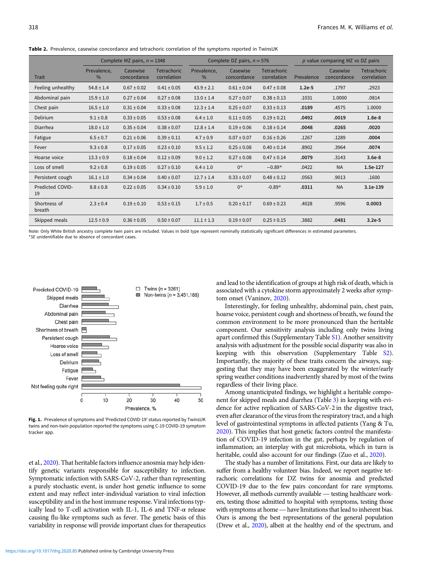|                        | Complete MZ pairs, $n = 1348$ |                         |                                   |                     | Complete DZ pairs, $n = 576$ |                            | p value comparing MZ vs DZ pairs |                         |                                   |  |
|------------------------|-------------------------------|-------------------------|-----------------------------------|---------------------|------------------------------|----------------------------|----------------------------------|-------------------------|-----------------------------------|--|
| Trait                  | Prevalence,<br>$\%$           | Casewise<br>concordance | <b>Tetrachoric</b><br>correlation | Prevalence,<br>$\%$ | Casewise<br>concordance      | Tetrachoric<br>correlation | Prevalence                       | Casewise<br>concordance | <b>Tetrachoric</b><br>correlation |  |
| Feeling unhealthy      | $54.8 \pm 1.4$                | $0.67 \pm 0.02$         | $0.41 \pm 0.05$                   | $43.9 \pm 2.1$      | $0.61 \pm 0.04$              | $0.47 \pm 0.08$            | $1.2e-5$                         | .1797                   | .2923                             |  |
| Abdominal pain         | $15.9 \pm 1.0$                | $0.27 \pm 0.04$         | $0.27 \pm 0.08$                   | $13.0 \pm 1.4$      | $0.27 \pm 0.07$              | $0.38 \pm 0.13$            | .1031                            | 1.0000                  | .0814                             |  |
| Chest pain             | $16.5 \pm 1.0$                | $0.31 \pm 0.04$         | $0.33 \pm 0.08$                   | $12.3 \pm 1.4$      | $0.25 \pm 0.07$              | $0.33 \pm 0.13$            | .0189                            | .4575                   | 1.0000                            |  |
| Delirium               | $9.1 \pm 0.8$                 | $0.33 \pm 0.05$         | $0.53 \pm 0.08$                   | $6.4 \pm 1.0$       | $0.11 \pm 0.05$              | $0.19 \pm 0.21$            | .0492                            | .0019                   | $1.8e-8$                          |  |
| Diarrhea               | $18.0 \pm 1.0$                | $0.35 \pm 0.04$         | $0.38 \pm 0.07$                   | $12.8 \pm 1.4$      | $0.19 \pm 0.06$              | $0.18 \pm 0.14$            | .0048                            | .0265                   | .0020                             |  |
| Fatigue                | $6.5 \pm 0.7$                 | $0.21 \pm 0.06$         | $0.39 \pm 0.11$                   | $4.7 \pm 0.9$       | $0.07 \pm 0.07$              | $0.16 \pm 0.26$            | .1267                            | .1289                   | .0004                             |  |
| Fever                  | $9.3 \pm 0.8$                 | $0.17 \pm 0.05$         | $0.23 \pm 0.10$                   | $9.5 \pm 1.2$       | $0.25 \pm 0.08$              | $0.40 \pm 0.14$            | .8902                            | .3964                   | .0074                             |  |
| Hoarse voice           | $13.3 \pm 0.9$                | $0.18 \pm 0.04$         | $0.12 \pm 0.09$                   | $9.0 \pm 1.2$       | $0.27 \pm 0.08$              | $0.47 \pm 0.14$            | .0079                            | .3143                   | $3.6e-8$                          |  |
| Loss of smell          | $9.2 \pm 0.8$                 | $0.19 \pm 0.05$         | $0.27 \pm 0.10$                   | $6.4 \pm 1.0$       | $0*$                         | $-0.89*$                   | .0422                            | <b>NA</b>               | 1.5e-127                          |  |
| Persistent cough       | $16.1 \pm 1.0$                | $0.34 \pm 0.04$         | $0.40 \pm 0.07$                   | $12.7 \pm 1.4$      | $0.33 \pm 0.07$              | $0.48 \pm 0.12$            | .0563                            | .9013                   | .1600                             |  |
| Predicted COVID-<br>19 | $8.8 \pm 0.8$                 | $0.22 \pm 0.05$         | $0.34 \pm 0.10$                   | $5.9 \pm 1.0$       | $0*$                         | $-0.89*$                   | .0311                            | <b>NA</b>               | 3.1e-139                          |  |
| Shortness of<br>breath | $2.3 \pm 0.4$                 | $0.19 \pm 0.10$         | $0.53 \pm 0.15$                   | $1.7 \pm 0.5$       | $0.20 \pm 0.17$              | $0.69 \pm 0.23$            | .4028                            | .9596                   | 0.0003                            |  |
| Skipped meals          | $12.5 \pm 0.9$                | $0.36 \pm 0.05$         | $0.50 \pm 0.07$                   | $11.1 \pm 1.3$      | $0.19 \pm 0.07$              | $0.25 \pm 0.15$            | .3882                            | .0481                   | $3.2e-5$                          |  |

<span id="page-2-0"></span>Table 2. Prevalence, casewise concordance and tetrachoric correlation of the symptoms reported in TwinsUK

Note: Only White British ancestry complete twin pairs are included. Values in bold type represent nominally statistically significant differences in estimated parameters. \*SE unidentifiable due to absence of concordant cases.



Fig. 1. Prevalence of symptoms and 'Predicted COVID-19' status reported by TwinsUK twins and non-twin population reported the symptoms using C-19 COVID-19 symptom tracker app.

et al., [2020\)](#page-5-0). That heritable factors influence anosmia may help identify genetic variants responsible for susceptibility to infection. Symptomatic infection with SARS-CoV-2, rather than representing a purely stochastic event, is under host genetic influence to some extent and may reflect inter-individual variation to viral infection susceptibility and in the host immune response. Viral infections typically lead to T-cell activation with IL-1, IL-6 and  $TNF-\alpha$  release causing flu-like symptoms such as fever. The genetic basis of this variability in response will provide important clues for therapeutics

and lead to the identification of groups at high risk of death, which is associated with a cytokine storm approximately 2 weeks after symptom onset (Vaninov, [2020\)](#page-5-0).

Interestingly, for feeling unhealthy, abdominal pain, chest pain, hoarse voice, persistent cough and shortness of breath, we found the common environment to be more pronounced than the heritable component. Our sensitivity analysis including only twins living apart confirmed this (Supplementary Table [S1\)](https://doi.org/10.1017/thg.2020.85). Another sensitivity analysis with adjustment for the possible social disparity was also in keeping with this observation (Supplementary Table [S2](https://doi.org/10.1017/thg.2020.85)). Importantly, the majority of these traits concern the airways, suggesting that they may have been exaggerated by the winter/early spring weather conditions inadvertently shared by most of the twins regardless of their living place.

Among unanticipated findings, we highlight a heritable component for skipped meals and diarrhea (Table [3](#page-3-0)) in keeping with evidence for active replication of SARS-CoV-2 in the digestive tract, even after clearance of the virus from the respiratory tract, and a high level of gastrointestinal symptoms in affected patients (Yang & Tu, [2020](#page-5-0)). This implies that host genetic factors control the manifestation of COVID-19 infection in the gut, perhaps by regulation of inflammation; an interplay with gut microbiota, which in turn is heritable, could also account for our findings (Zuo et al., [2020](#page-5-0)).

The study has a number of limitations. First, our data are likely to suffer from a healthy volunteer bias. Indeed, we report negative tetrachoric correlations for DZ twins for anosmia and predicted COVID-19 due to the few pairs concordant for rare symptoms. The study has a number of immitations. First, our data are likely to suffer from a healthy volunteer bias. Indeed, we report negative tetrachoric correlations for DZ twins for anosmia and predicted COVID-19 due to the few ers, testing those admitted to hospital with symptoms, testing those rachoric correlations for DZ twins for anosmia and predicted<br>COVID-19 due to the few pairs concordant for rare symptoms.<br>However, all methods currently available — testing healthcare work-<br>ers, testing those admitted to ho Ours is among the best representations of the general population (Drew et al., [2020\)](#page-5-0), albeit at the healthy end of the spectrum, and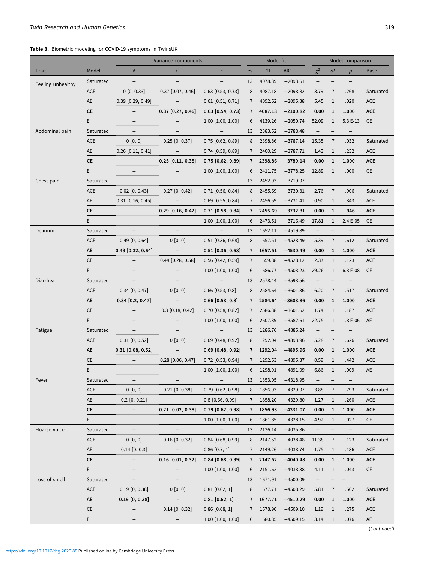#### <span id="page-3-0"></span>Table 3. Biometric modeling for COVID-19 symptoms in TwinsUK

|                   |            | Variance components      |                          |                          | Model fit      |         |            | Model comparison         |                          |                          |             |
|-------------------|------------|--------------------------|--------------------------|--------------------------|----------------|---------|------------|--------------------------|--------------------------|--------------------------|-------------|
| Trait             | Model      | A                        | $\mathsf{C}$             | E.                       | es             | $-2LL$  | <b>AIC</b> | $\chi^2$                 | df                       | p                        | <b>Base</b> |
| Feeling unhealthy | Saturated  | $\qquad \qquad -$        | -                        | $\overline{\phantom{0}}$ | 13             | 4078.39 | $-2093.61$ | $\qquad \qquad -$        | $\qquad \qquad -$        |                          |             |
|                   | ACE        | 0 [0, 0.33]              | $0.37$ [0.07, 0.46]      | $0.63$ [0.53, 0.73]      | 8              | 4087.18 | $-2098.82$ | 8.79                     | $\overline{7}$           | .268                     | Saturated   |
|                   | AE         | $0.39$ [0.29, 0.49]      | $\overline{\phantom{a}}$ | $0.61$ [0.51, 0.71]      | $\overline{7}$ | 4092.62 | $-2095.38$ | 5.45                     | $\mathbf{1}$             | .020                     | <b>ACE</b>  |
|                   | CE         | $\qquad \qquad -$        | $0.37$ [0.27, 0.46]      | $0.63$ [0.54, 0.73]      | $\overline{7}$ | 4087.18 | $-2100.82$ | 0.00                     | $\mathbf 1$              | 1.000                    | <b>ACE</b>  |
|                   | E.         | -                        | $\qquad \qquad -$        | $1.00$ [1.00, 1.00]      | 6              | 4139.26 | $-2050.74$ | 52.09                    | $\mathbf{1}$             | 5.3 E-13                 | <b>CE</b>   |
| Abdominal pain    | Saturated  | $\qquad \qquad -$        |                          | $\qquad \qquad -$        | 13             | 2383.52 | $-3788.48$ | $\qquad \qquad -$        | —                        |                          |             |
|                   | ACE        | 0 [0, 0]                 | $0.25$ [0, 0.37]         | $0.75$ [0.62, 0.89]      | 8              | 2398.86 | $-3787.14$ | 15.35                    | $\overline{7}$           | .032                     | Saturated   |
|                   | AE         | $0.26$ [0.11, 0.41]      | $\overline{\phantom{m}}$ | $0.74$ [0.59, 0.89]      | $\overline{7}$ | 2400.29 | $-3787.71$ | 1.43                     | $\mathbf{1}$             | .232                     | ACE         |
|                   | CE         | $\qquad \qquad -$        | $0.25$ [0.11, 0.38]      | $0.75$ [0.62, 0.89]      | $\overline{7}$ | 2398.86 | $-3789.14$ | 0.00                     | $\mathbf{1}$             | 1.000                    | <b>ACE</b>  |
|                   | E          | $\qquad \qquad -$        | $\qquad \qquad -$        | $1.00$ [1.00, 1.00]      |                | 2411.75 | $-3778.25$ | 12.89                    | $\mathbf{1}$             | .000                     | CE          |
| Chest pain        | Saturated  | $\overline{\phantom{a}}$ | $\qquad \qquad -$        | $\overline{\phantom{a}}$ | 13             | 2452.93 | $-3719.07$ | $\overline{\phantom{a}}$ | $\qquad \qquad -$        | $\overline{\phantom{m}}$ |             |
|                   | ACE        | $0.02$ [0, 0.43]         | $0.27$ [0, 0.42]         | $0.71$ [0.56, 0.84]      | 8              | 2455.69 | $-3730.31$ | 2.76                     | $\overline{7}$           | .906                     | Saturated   |
|                   | AE         | $0.31$ [0.16, 0.45]      | $\overline{\phantom{a}}$ | $0.69$ [0.55, 0.84]      | $\overline{7}$ | 2456.59 | $-3731.41$ | 0.90                     | $\mathbf{1}$             | .343                     | <b>ACE</b>  |
|                   | CE         | $\overline{\phantom{a}}$ | $0.29$ [0.16, 0.42]      | $0.71$ [0.58, 0.84]      | $\overline{7}$ | 2455.69 | $-3732.31$ | 0.00                     | $\mathbf{1}$             | .946                     | <b>ACE</b>  |
|                   | E          | $\qquad \qquad -$        | $\overline{\phantom{m}}$ | $1.00$ [1.00, 1.00]      | 6              | 2473.51 | $-3716.49$ | 17.81                    | $\mathbf{1}$             | 2.4 E-05                 | <b>CE</b>   |
| Delirium          | Saturated  | $\qquad \qquad -$        |                          | $\qquad \qquad -$        | 13             | 1652.11 | $-4519.89$ | $\overline{\phantom{0}}$ | $\overline{\phantom{0}}$ |                          |             |
|                   | ACE        | $0.49$ [0, 0.64]         | 0 [0, 0]                 | $0.51$ [0.36, 0.68]      | 8              | 1657.51 | $-4528.49$ | 5.39                     | $\overline{7}$           | .612                     | Saturated   |
|                   | AE         | $0.49$ [0.32, 0.64]      | $\overline{\phantom{a}}$ | $0.51$ [0.36, 0.68]      | 7              | 1657.51 | $-4530.49$ | 0.00                     | $\mathbf{1}$             | 1.000                    | <b>ACE</b>  |
|                   | CE         | $\qquad \qquad -$        | $0.44$ [0.28, 0.58]      | $0.56$ [0.42, 0.59]      | $\overline{7}$ | 1659.88 | $-4528.12$ | 2.37                     | $\,1$                    | .123                     | ACE         |
|                   | E.         | $\qquad \qquad -$        | $\qquad \qquad -$        | $1.00$ [1.00, 1.00]      | 6              | 1686.77 | $-4503.23$ | 29.26                    | $\mathbf{1}$             | 6.3 E-08                 | <b>CE</b>   |
| Diarrhea          | Saturated  | $\qquad \qquad -$        |                          | $\overline{\phantom{a}}$ | 13             | 2578.44 | $-3593.56$ | $\qquad \qquad -$        | $\overline{\phantom{0}}$ |                          |             |
|                   | <b>ACE</b> | $0.34$ [0, 0.47]         | 0 [0, 0]                 | $0.66$ [0.53, 0.8]       | 8              | 2584.64 | $-3601.36$ | 6.20                     | $\overline{7}$           | .517                     | Saturated   |
|                   | AE         | $0.34$ [0.2, 0.47]       | $\overline{\phantom{a}}$ | $0.66$ [0.53, 0.8]       | $\overline{7}$ | 2584.64 | $-3603.36$ | 0.00                     | $\mathbf{1}$             | 1.000                    | ACE         |
|                   | CE         | $\qquad \qquad -$        | $0.3$ [0.18, 0.42]       | $0.70$ [0.58, 0.82]      | $\overline{7}$ | 2586.38 | $-3601.62$ | 1.74                     | $\mathbf{1}$             | .187                     | ACE         |
|                   | E          | $\overline{\phantom{0}}$ |                          | $1.00$ [1.00, 1.00]      | 6              | 2607.39 | $-3582.61$ | 22.75                    | $\mathbf{1}$             | 1.8 E-06                 | AE          |
| Fatigue           | Saturated  | $\overline{\phantom{a}}$ | $\qquad \qquad -$        | $\overline{\phantom{a}}$ | 13             | 1286.76 | $-4885.24$ | $\qquad \qquad -$        | $\qquad \qquad -$        | $\overline{\phantom{m}}$ |             |
|                   | <b>ACE</b> | $0.31$ [0, 0.52]         | 0 [0, 0]                 | $0.69$ [0.48, 0.92]      | 8              | 1292.04 | $-4893.96$ | 5.28                     | $\overline{7}$           | .626                     | Saturated   |
|                   | AE         | $0.31$ [0.08, 0.52]      | $\overline{\phantom{a}}$ | $0.69$ [0.48, 0.92]      | $\overline{7}$ | 1292.04 | $-4895.96$ | 0.00                     | $\mathbf{1}$             | 1.000                    | <b>ACE</b>  |
|                   | CE         | $\qquad \qquad -$        | $0.28$ [0.06, 0.47]      | $0.72$ [0.53, 0.94]      | $\overline{7}$ | 1292.63 | $-4895.37$ | 0.59                     | $\mathbf{1}$             | .442                     | ACE         |
|                   | E          | -                        |                          | $1.00$ [1.00, 1.00]      | 6              | 1298.91 | $-4891.09$ | 6.86                     | $\mathbf{1}$             | .009                     | AE          |
| Fever             | Saturated  |                          |                          |                          | 13             | 1853.05 | $-4318.95$ |                          |                          |                          |             |
|                   | <b>ACE</b> | 0 [0, 0]                 | $0.21$ [0, 0.38]         | $0.79$ [0.62, 0.98]      | 8              | 1856.93 | $-4329.07$ | 3.88                     | $\overline{7}$           | .793                     | Saturated   |
|                   | AE         | $0.2$ [0, 0.21]          | $\overline{\phantom{a}}$ | $0.8$ [0.66, 0.99]       | 7              | 1858.20 | $-4329.80$ | 1.27                     | $\mathbf{1}$             | .260                     | ACE         |
|                   | CE.        | $\qquad \qquad -$        | $0.21$ [0.02, 0.38]      | $0.79$ [0.62, 0.98]      | 7              | 1856.93 | $-4331.07$ | 0.00                     | $\mathbf{1}$             | 1.000                    | ACE         |
|                   | E.         | $\qquad \qquad -$        | $\qquad \qquad -$        | $1.00$ [1.00, 1.00]      | 6              | 1861.85 | $-4328.15$ | 4.92                     | $\mathbf{1}$             | .027                     | CE          |
| Hoarse voice      | Saturated  | $\qquad \qquad -$        |                          | $-$                      | 13             | 2136.14 | $-4035.86$ | $\overline{\phantom{a}}$ | $\qquad \qquad -$        | $\overline{\phantom{m}}$ |             |
|                   | <b>ACE</b> | 0 [0, 0]                 | $0.16$ [0, 0.32]         | $0.84$ [0.68, 0.99]      | 8              | 2147.52 | $-4038.48$ | 11.38                    | $\overline{7}$           | .123                     | Saturated   |
|                   | AE         | $0.14$ [0, 0.3]          | $\overline{\phantom{a}}$ | $0.86$ [0.7, 1]          | $\overline{7}$ | 2149.26 | $-4038.74$ | 1.75                     | $\mathbf{1}$             | .186                     | ACE         |
|                   | СE         | $\qquad \qquad -$        | $0.16$ [0.01, 0.32]      | $0.84$ [0.68, 0.99]      | 7              | 2147.52 | $-4040.48$ | 0.00                     | $\mathbf{1}$             | 1.000                    | ACE         |
|                   | E.         | $\overline{\phantom{0}}$ |                          | $1.00$ [1.00, 1.00]      |                | 2151.62 | $-4038.38$ | 4.11                     | $1\,$                    | .043                     | CE          |
| Loss of smell     | Saturated  | $\qquad \qquad -$        | -                        | $\sim$ $-$               | 13             | 1671.91 | $-4500.09$ | $\qquad \qquad -$        | -                        | $\overline{\phantom{m}}$ |             |
|                   | <b>ACE</b> | $0.19$ [0, 0.38]         | 0 [0, 0]                 | $0.81$ [0.62, 1]         | 8              | 1677.71 | $-4508.29$ | 5.81                     | $\overline{7}$           | .562                     | Saturated   |
|                   | AE         | $0.19$ $[0, 0.38]$       | $\sim$                   | $0.81$ [0.62, 1]         | 7              | 1677.71 | $-4510.29$ | 0.00                     | $\mathbf{1}$             | 1.000                    | ACE         |
|                   | CE         | $\qquad \qquad -$        | $0.14$ [0, 0.32]         | $0.86$ [0.68, 1]         | $\overline{7}$ | 1678.90 | $-4509.10$ | 1.19                     | $\mathbf{1}$             | .275                     | ACE         |
|                   | E.         | $\qquad \qquad -$        | $\overline{\phantom{a}}$ | $1.00$ [1.00, 1.00]      | 6              | 1680.85 | $-4509.15$ | 3.14                     | $\mathbf{1}$             | .076                     | AE          |

(Continued)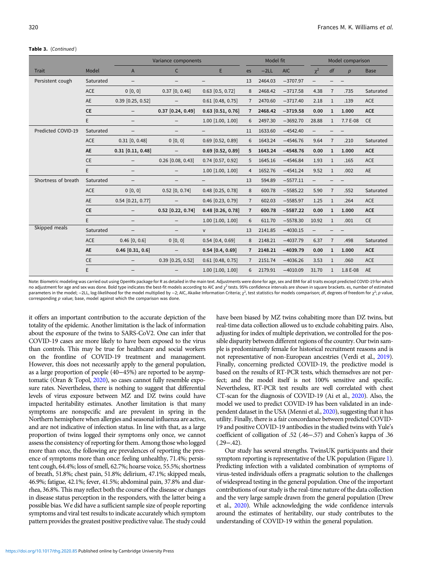#### Table 3. (Continued)

|                     |            |                          | Variance components      |                       |                | Model fit |            |          | Model comparison |                  |             |  |
|---------------------|------------|--------------------------|--------------------------|-----------------------|----------------|-----------|------------|----------|------------------|------------------|-------------|--|
| <b>Trait</b>        | Model      | A                        | $\mathsf{C}$             | E                     | es             | $-2LL$    | <b>AIC</b> | $\chi^2$ | df               | $\boldsymbol{p}$ | <b>Base</b> |  |
| Persistent cough    | Saturated  |                          |                          |                       | 13             | 2464.03   | $-3707.97$ |          |                  |                  |             |  |
|                     | <b>ACE</b> | 0 [0, 0]                 | $0.37$ [0, 0.46]         | $0.63$ [0.5, 0.72]    | 8              | 2468.42   | $-3717.58$ | 4.38     | $\overline{7}$   | .735             | Saturated   |  |
|                     | <b>AE</b>  | $0.39$ [0.25, 0.52]      |                          | $0.61$ [0.48, 0.75]   | $\overline{7}$ | 2470.60   | $-3717.40$ | 2.18     | $\mathbf{1}$     | .139             | <b>ACE</b>  |  |
|                     | CE         |                          | $0.37$ [0.24, 0.49]      | $0.63$ [0.51, 0.76]   | $\overline{7}$ | 2468.42   | $-3719.58$ | 0.00     | $\mathbf{1}$     | 1.000            | <b>ACE</b>  |  |
|                     | E          | $\qquad \qquad -$        |                          | $1.00$ [1.00, 1.00]   | 6              | 2497.30   | $-3692.70$ | 28.88    | $\mathbf{1}$     | 7.7 E-08         | <b>CE</b>   |  |
| Predicted COVID-19  | Saturated  |                          |                          |                       | 11             | 1633.60   | $-4542.40$ |          |                  |                  |             |  |
|                     | <b>ACE</b> | $0.31$ [0, 0.48]         | 0 [0, 0]                 | $0.69$ [0.52, 0.89]   | 6              | 1643.24   | $-4546.76$ | 9.64     | $\overline{7}$   | .210             | Saturated   |  |
|                     | AE         | $0.31$ [0.11, 0.48]      |                          | $0.69$ $[0.52, 0.89]$ | 5              | 1643.24   | $-4548.76$ | 0.00     | $\mathbf 1$      | 1.000            | <b>ACE</b>  |  |
|                     | CE         |                          | $0.26$ [0.08, 0.43]      | $0.74$ [0.57, 0.92]   | 5              | 1645.16   | $-4546.84$ | 1.93     | $\mathbf{1}$     | .165             | ACE         |  |
|                     | E          |                          |                          | $1.00$ [1.00, 1.00]   | $\overline{4}$ | 1652.76   | $-4541.24$ | 9.52     | $\mathbf{1}$     | .002             | <b>AE</b>   |  |
| Shortness of breath | Saturated  |                          |                          |                       | 13             | 594.89    | $-5577.11$ |          |                  |                  |             |  |
|                     | ACE        | 0 [0, 0]                 | $0.52$ [0, 0.74]         | $0.48$ [0.25, 0.78]   | 8              | 600.78    | $-5585.22$ | 5.90     | $\overline{7}$   | .552             | Saturated   |  |
|                     | AE         | $0.54$ [0.21, 0.77]      |                          | $0.46$ [0.23, 0.79]   | $\overline{7}$ | 602.03    | $-5585.97$ | 1.25     | $\mathbf{1}$     | .264             | ACE         |  |
|                     | <b>CE</b>  |                          | $0.52$ [0.22, 0.74]      | $0.48$ [0.26, 0.78]   | $\overline{7}$ | 600.78    | $-5587.22$ | 0.00     | $\mathbf{1}$     | 1.000            | <b>ACE</b>  |  |
|                     | E          | $\qquad \qquad -$        |                          | $1.00$ [1.00, 1.00]   | 6              | 611.70    | $-5578.30$ | 10.92    | 1                | .001             | <b>CE</b>   |  |
| Skipped meals       | Saturated  | $\overline{\phantom{0}}$ |                          | V                     | 13             | 2141.85   | $-4030.15$ |          |                  |                  |             |  |
|                     | <b>ACE</b> | $0.46$ [0, 0.6]          | 0 [0, 0]                 | $0.54$ [0.4, 0.69]    | 8              | 2148.21   | $-4037.79$ | 6.37     | $\overline{7}$   | .498             | Saturated   |  |
|                     | AE         | $0.46$ [0.31, 0.6]       | $\overline{\phantom{m}}$ | $0.54$ [0.4, 0.69]    | $\overline{7}$ | 2148.21   | $-4039.79$ | 0.00     | $\mathbf{1}$     | 1.000            | <b>ACE</b>  |  |
|                     | CE         |                          | $0.39$ [0.25, 0.52]      | $0.61$ [0.48, 0.75]   | $\overline{7}$ | 2151.74   | $-4036.26$ | 3.53     | $\mathbf{1}$     | .060             | <b>ACE</b>  |  |
|                     | E          |                          |                          | $1.00$ [1.00, 1.00]   | 6              | 2179.91   | $-4010.09$ | 31.70    | $\mathbf{1}$     | 1.8 E-08         | AE          |  |

Note: Biometric modeling was carried out using OpenMx package for R as detailed in the main text. Adjustments were done for age, sex and BMI for all traits except predicted COVID-19 for which no adjustment for age and sex was done. Bold type indicates the best-fit models according to AIC and  $\chi^2$  tests. 95% confidence intervals are shown in square brackets. es, number of estimated parameters in the model; -2LL, log-likelihood for the model multiplied by -2; AIC, Akaike Information Criteria;  $\chi^2$ , test statistics for models comparison; df, degrees of freedom for  $\chi^2$ ; p value, corresponding p value; base, model against which the comparison was done.

it offers an important contribution to the accurate depiction of the totality of the epidemic. Another limitation is the lack of information about the exposure of the twins to SARS-CoV2. One can infer that COVID-19 cases are more likely to have been exposed to the virus than controls. This may be true for healthcare and social workers on the frontline of COVID-19 treatment and management. However, this does not necessarily apply to the general population, as a large proportion of people (40−45%) are reported to be asymptomatic (Oran & Topol, [2020\)](#page-5-0), so cases cannot fully resemble exposure rates. Nevertheless, there is nothing to suggest that differential levels of virus exposure between MZ and DZ twins could have impacted heritability estimates. Another limitation is that many symptoms are nonspecific and are prevalent in spring in the Northern hemisphere when allergies and seasonal influenza are active, and are not indicative of infection status. In line with that, as a large proportion of twins logged their symptoms only once, we cannot assess the consistency of reporting for them. Among those who logged more than once, the following are prevalences of reporting the presence of symptoms more than once: feeling unhealthy, 71.4%; persistent cough, 64.4%; loss of smell, 62.7%; hoarse voice, 55.5%; shortness of breath, 51.8%; chest pain, 51.8%; delirium, 47.1%; skipped meals, 46.9%; fatigue, 42.1%; fever, 41.5%; abdominal pain, 37.8% and diarrhea, 36.8%. This may reflect both the course of the disease or changes in disease status perception in the responders, with the latter being a possible bias. We did have a sufficient sample size of people reporting symptoms and viral test results to indicate accurately which symptom pattern provides the greatest positive predictive value. The study could

have been biased by MZ twins cohabiting more than DZ twins, but real-time data collection allowed us to exclude cohabiting pairs. Also, adjusting for index of multiple deprivation, we controlled for the possible disparity between different regions of the country. Our twin sample is predominantly female for historical recruitment reasons and is not representative of non-European ancestries (Verdi et al., [2019](#page-5-0)). Finally, concerning predicted COVID-19, the predictive model is based on the results of RT-PCR tests, which themselves are not perfect; and the model itself is not 100% sensitive and specific. Nevertheless, RT-PCR test results are well correlated with chest CT-scan for the diagnosis of COVID-19 (Ai et al., [2020\)](#page-5-0). Also, the model we used to predict COVID-19 has been validated in an independent dataset in the USA (Menni et al., [2020\)](#page-5-0), suggesting that it has utility. Finally, there is a fair concordance between predicted COVID-19 and positive COVID-19 antibodies in the studied twins with Yule's coefficient of colligation of .52 (.46−.57) and Cohen's kappa of .36 (.29−.42).

Our study has several strengths. TwinsUK participants and their symptom reporting is representative of the UK population (Figure [1](#page-2-0)). Predicting infection with a validated combination of symptoms of virus-tested individuals offers a pragmatic solution to the challenges of widespread testing in the general population. One of the important contributions of our study is the real-time nature of the data collection and the very large sample drawn from the general population (Drew et al., [2020](#page-5-0)). While acknowledging the wide confidence intervals around the estimates of heritability, our study contributes to the understanding of COVID-19 within the general population.